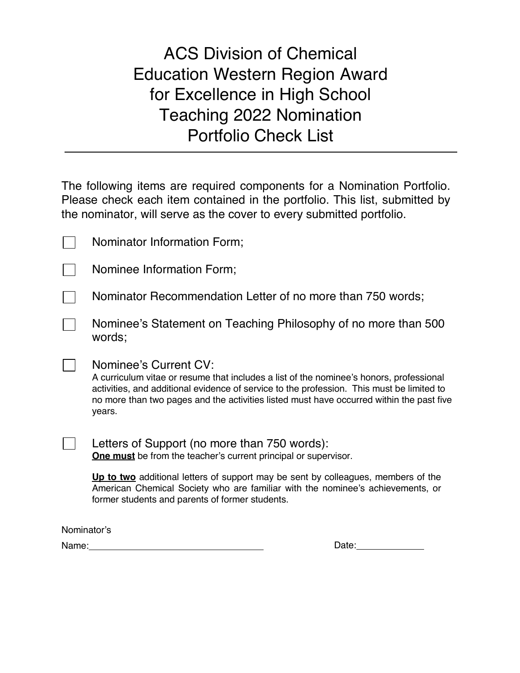# ACS Division of Chemical Education Western Region Award for Excellence in High School Teaching 2022 Nomination Portfolio Check List

The following items are required components for a Nomination Portfolio. Please check each item contained in the portfolio. This list, submitted by the nominator, will serve as the cover to every submitted portfolio.

| Nominator Information Form; |  |  |
|-----------------------------|--|--|
|-----------------------------|--|--|

| Nominee Information Form; |  |  |
|---------------------------|--|--|
|                           |  |  |

Nominator Recommendation Letter of no more than 750 words;

Nominee's Statement on Teaching Philosophy of no more than 500 words;

#### Nominee's Current CV:

A curriculum vitae or resume that includes a list of the nominee's honors, professional activities, and additional evidence of service to the profession. This must be limited to no more than two pages and the activities listed must have occurred within the past five years.

Letters of Support (no more than 750 words): **One must** be from the teacher's current principal or supervisor.

**Up to two** additional letters of support may be sent by colleagues, members of the American Chemical Society who are familiar with the nominee's achievements, or former students and parents of former students.

Nominator's

 $\perp$ 

Name: Date: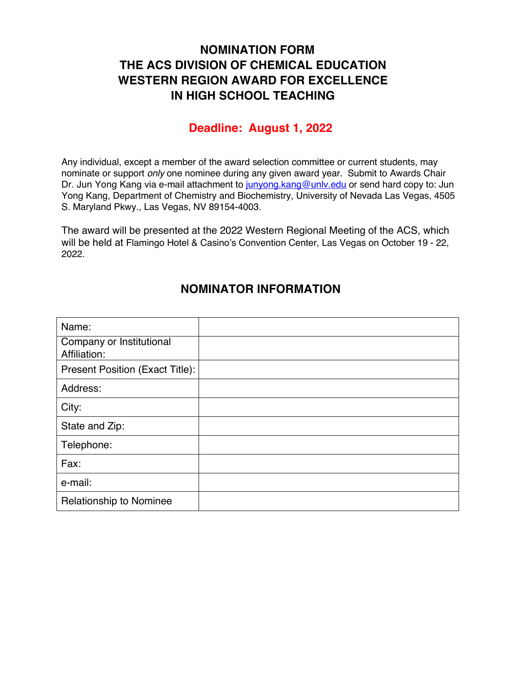## **NOMINATION FORM THE ACS DIVISION OF CHEMICAL EDUCATION WESTERN REGION AWARD FOR EXCELLENCE IN HIGH SCHOOL TEACHING**

#### **Deadline: August 1, 2022**

Any individual, except a member of the award selection committee or current students, may nominate or support *only* one nominee during any given award year. Submit to Awards Chair Dr. Jun Yong Kang via e-mail attachment to junyong kang@unly edu or send hard copy to: Jun Yong Kang, Department of Chemistry and Biochemistry, University of Nevada Las Vegas, 4505 S. Maryland Pkwy., Las Vegas, NV 89154-4003.

The award will be presented at the 2022 Western Regional Meeting of the ACS, which will be held at Flamingo Hotel & Casino's Convention Center, Las Vegas on October 19 - 22, 2022.

| Name:                                    |  |
|------------------------------------------|--|
| Company or Institutional<br>Affiliation: |  |
| Present Position (Exact Title):          |  |
| Address:                                 |  |
| City:                                    |  |
| State and Zip:                           |  |
| Telephone:                               |  |
| Fax:                                     |  |
| e-mail:                                  |  |
| Relationship to Nominee                  |  |

#### **NOMINATOR INFORMATION**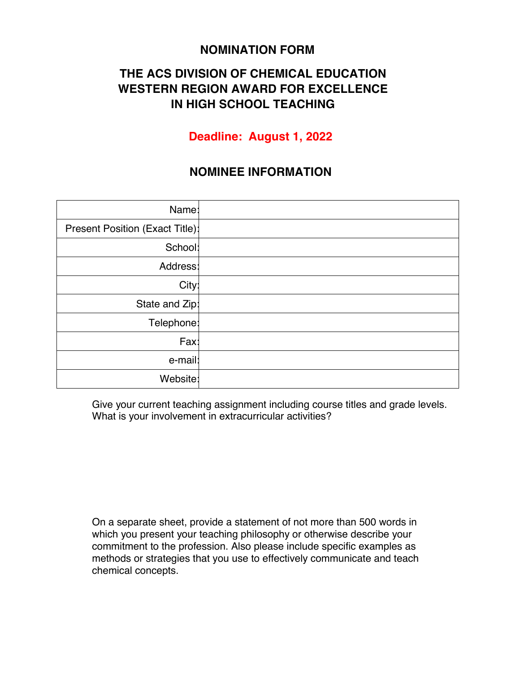#### **NOMINATION FORM**

## **THE ACS DIVISION OF CHEMICAL EDUCATION WESTERN REGION AWARD FOR EXCELLENCE IN HIGH SCHOOL TEACHING**

### **Deadline: August 1, 2022**

#### **NOMINEE INFORMATION**

| Name:                           |  |
|---------------------------------|--|
| Present Position (Exact Title): |  |
| School:                         |  |
| Address:                        |  |
| City:                           |  |
| State and Zip:                  |  |
| Telephone:                      |  |
| Fax:                            |  |
| e-mail:                         |  |
| Website:                        |  |

 Give your current teaching assignment including course titles and grade levels. What is your involvement in extracurricular activities?

 On a separate sheet, provide a statement of not more than 500 words in which you present your teaching philosophy or otherwise describe your commitment to the profession. Also please include specific examples as methods or strategies that you use to effectively communicate and teach chemical concepts.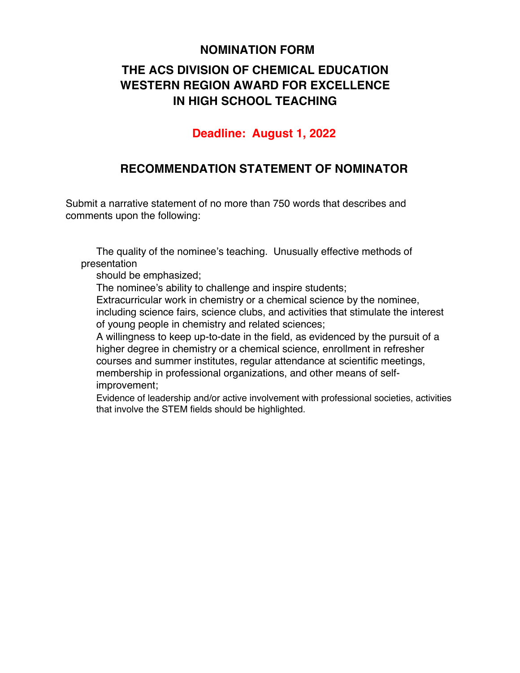#### **NOMINATION FORM**

# **THE ACS DIVISION OF CHEMICAL EDUCATION WESTERN REGION AWARD FOR EXCELLENCE IN HIGH SCHOOL TEACHING**

#### **Deadline: August 1, 2022**

#### **RECOMMENDATION STATEMENT OF NOMINATOR**

Submit a narrative statement of no more than 750 words that describes and comments upon the following:

 The quality of the nominee's teaching. Unusually effective methods of presentation

should be emphasized;

The nominee's ability to challenge and inspire students;

 Extracurricular work in chemistry or a chemical science by the nominee, including science fairs, science clubs, and activities that stimulate the interest of young people in chemistry and related sciences;

 A willingness to keep up-to-date in the field, as evidenced by the pursuit of a higher degree in chemistry or a chemical science, enrollment in refresher courses and summer institutes, regular attendance at scientific meetings, membership in professional organizations, and other means of selfimprovement;

 Evidence of leadership and/or active involvement with professional societies, activities that involve the STEM fields should be highlighted.